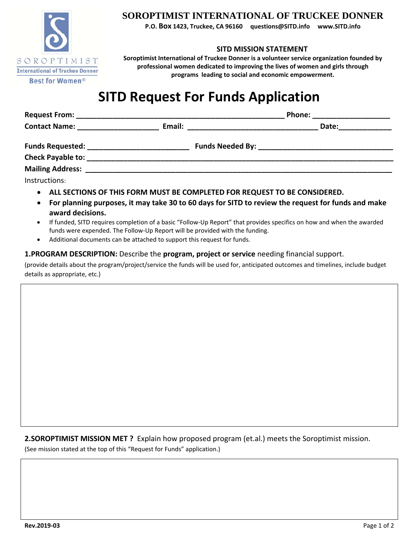

### **SOROPTIMIST INTERNATIONAL OF TRUCKEE DONNER**

**P.O. Box 1423, Truckee, CA 96160 questions@SITD.info www.SITD.info**

#### **SITD MISSION STATEMENT**

**Soroptimist International of Truckee Donner is a volunteer service organization founded by professional women dedicated to improving the lives of women and girls through programs leading to social and economic empowerment.**

## **SITD Request For Funds Application**

|                                                                                                                        |        | <b>Phone:</b> |  |
|------------------------------------------------------------------------------------------------------------------------|--------|---------------|--|
| <b>Contact Name:</b> The Contact Name:                                                                                 | Email: | Date:         |  |
|                                                                                                                        |        |               |  |
| <b>Check Payable to:</b> The Check Payable of the Check Payable of the Check Payable of the Check Payable of the Check |        |               |  |
| <b>Mailing Address:</b>                                                                                                |        |               |  |
| Instructions:                                                                                                          |        |               |  |

- **ALL SECTIONS OF THIS FORM MUST BE COMPLETED FOR REQUEST TO BE CONSIDERED.**
- For planning purposes, it may take 30 to 60 days for SITD to review the request for funds and make **award decisions.**
- If funded, SITD requires completion of a basic "Follow-Up Report" that provides specifics on how and when the awarded funds were expended. The Follow‐Up Report will be provided with the funding.
- Additional documents can be attached to support this request for funds.

### **1.PROGRAM DESCRIPTION:** Describe the **program, project or service** needing financial support.

(provide details about the program/project/service the funds will be used for, anticipated outcomes and timelines, include budget details as appropriate, etc.)

**2.SOROPTIMIST MISSION MET ?** Explain how proposed program (et.al.) meets the Soroptimist mission.

(See mission stated at the top of this "Request for Funds" application.)